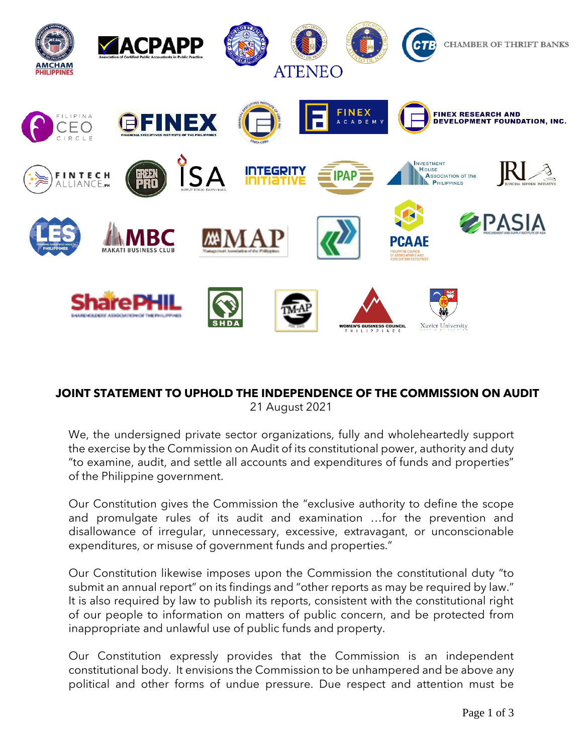

## **JOINT STATEMENT TO UPHOLD THE INDEPENDENCE OF THE COMMISSION ON AUDIT** 21 August 2021

We, the undersigned private sector organizations, fully and wholeheartedly support the exercise by the Commission on Audit of its constitutional power, authority and duty "to examine, audit, and settle all accounts and expenditures of funds and properties" of the Philippine government.

Our Constitution gives the Commission the "exclusive authority to define the scope and promulgate rules of its audit and examination …for the prevention and disallowance of irregular, unnecessary, excessive, extravagant, or unconscionable expenditures, or misuse of government funds and properties."

Our Constitution likewise imposes upon the Commission the constitutional duty "to submit an annual report" on its findings and "other reports as may be required by law." It is also required by law to publish its reports, consistent with the constitutional right of our people to information on matters of public concern, and be protected from inappropriate and unlawful use of public funds and property.

Our Constitution expressly provides that the Commission is an independent constitutional body. It envisions the Commission to be unhampered and be above any political and other forms of undue pressure. Due respect and attention must be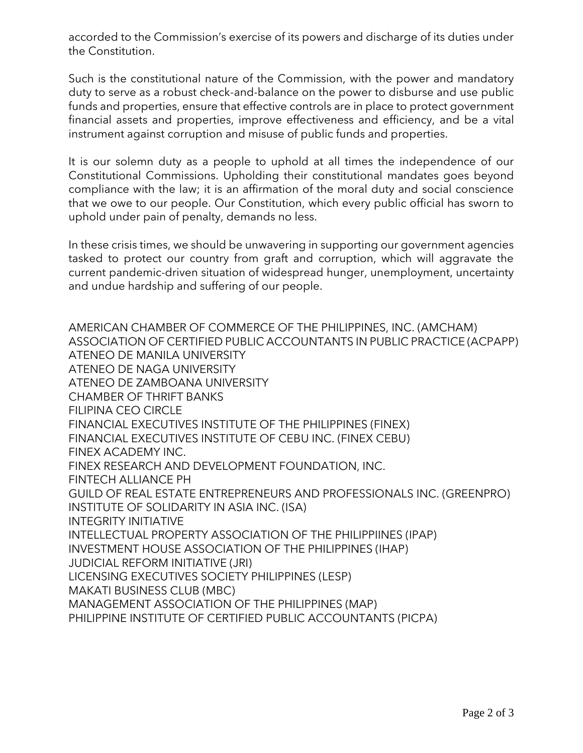accorded to the Commission's exercise of its powers and discharge of its duties under the Constitution.

Such is the constitutional nature of the Commission, with the power and mandatory duty to serve as a robust check-and-balance on the power to disburse and use public funds and properties, ensure that effective controls are in place to protect government financial assets and properties, improve effectiveness and efficiency, and be a vital instrument against corruption and misuse of public funds and properties.

It is our solemn duty as a people to uphold at all times the independence of our Constitutional Commissions. Upholding their constitutional mandates goes beyond compliance with the law; it is an affirmation of the moral duty and social conscience that we owe to our people. Our Constitution, which every public official has sworn to uphold under pain of penalty, demands no less.

In these crisis times, we should be unwavering in supporting our government agencies tasked to protect our country from graft and corruption, which will aggravate the current pandemic-driven situation of widespread hunger, unemployment, uncertainty and undue hardship and suffering of our people.

AMERICAN CHAMBER OF COMMERCE OF THE PHILIPPINES, INC. (AMCHAM) ASSOCIATION OF CERTIFIED PUBLIC ACCOUNTANTS IN PUBLIC PRACTICE (ACPAPP) ATENEO DE MANILA UNIVERSITY ATENEO DE NAGA UNIVERSITY ATENEO DE ZAMBOANA UNIVERSITY CHAMBER OF THRIFT BANKS FILIPINA CEO CIRCLE FINANCIAL EXECUTIVES INSTITUTE OF THE PHILIPPINES (FINEX) FINANCIAL EXECUTIVES INSTITUTE OF CEBU INC. (FINEX CEBU) FINEX ACADEMY INC. FINEX RESEARCH AND DEVELOPMENT FOUNDATION, INC. FINTECH ALLIANCE PH GUILD OF REAL ESTATE ENTREPRENEURS AND PROFESSIONALS INC. (GREENPRO) INSTITUTE OF SOLIDARITY IN ASIA INC. (ISA) INTEGRITY INITIATIVE INTELLECTUAL PROPERTY ASSOCIATION OF THE PHILIPPIINES (IPAP) INVESTMENT HOUSE ASSOCIATION OF THE PHILIPPINES (IHAP) JUDICIAL REFORM INITIATIVE (JRI) LICENSING EXECUTIVES SOCIETY PHILIPPINES (LESP) MAKATI BUSINESS CLUB (MBC) MANAGEMENT ASSOCIATION OF THE PHILIPPINES (MAP) PHILIPPINE INSTITUTE OF CERTIFIED PUBLIC ACCOUNTANTS (PICPA)